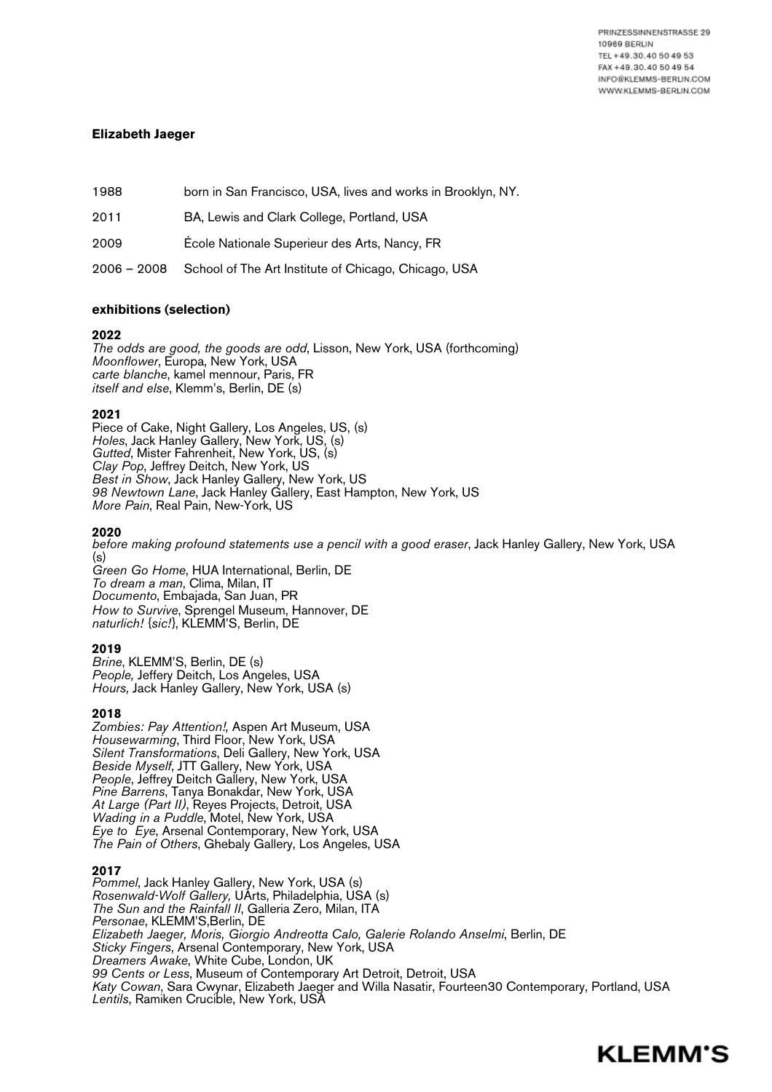PRINZESSINNENSTRASSE 29 **10969 BERLIN** TEL +49.30.40 50 49 53 FAX +49.30.40 50 49 54 INFO@KLEMMS-BERLIN.COM WWW.KLEMMS-BERLIN.COM

# **Elizabeth Jaeger**

1988 born in San Francisco, USA, lives and works in Brooklyn, NY.

2011 BA, Lewis and Clark College, Portland, USA

2009 École Nationale Superieur des Arts, Nancy, FR

2006 – 2008 School of The Art Institute of Chicago, Chicago, USA

# **exhibitions (selection)**

# **2022**

*The odds are good, the goods are odd*, Lisson, New York, USA (forthcoming) *Moonflower*, Europa, New York, USA *carte blanche*, kamel mennour, Paris, FR *itself and else*, Klemm's, Berlin, DE (s)

# **2021**

Piece of Cake, Night Gallery, Los Angeles, US, (s) *Holes*, Jack Hanley Gallery, New York, US, (s) *Gutted*, Mister Fahrenheit, New York, US, (s) *Clay Pop*, Jeffrey Deitch, New York, US *Best in Show*, Jack Hanley Gallery, New York, US *98 Newtown Lane*, Jack Hanley Gallery, East Hampton, New York, US *More Pain*, Real Pain, New-York, US

# **2020**

*before making profound statements use a pencil with a good eraser*, Jack Hanley Gallery, New York, USA (s)

*Green Go Home*, HUA International, Berlin, DE *To dream a man*, Clima, Milan, IT *Documento*, Embajada, San Juan, PR *How to Survive*, Sprengel Museum, Hannover, DE *naturlich! {sic!}*, KLEMM'S, Berlin, DE

# **2019**

*Brine*, KLEMM'S, Berlin, DE (s) *People,* Jeffery Deitch, Los Angeles, USA *Hours,* Jack Hanley Gallery, New York, USA (s)

**<sup>2018</sup>** *Zombies: Pay Attention!,* Aspen Art Museum, USA *Housewarming*, Third Floor, New York, USA *Silent Transformations*, Deli Gallery, New York, USA *Beside Myself*, JTT Gallery, New York, USA *People*, Jeffrey Deitch Gallery, New York, USA *At Large (Part II)*, Reyes Projects, Detroit, USA *Wading in a Puddle*, Motel, New York, USA *Eye to Eye*, Arsenal Contemporary, New York, USA *The Pain of Others*, Ghebaly Gallery, Los Angeles, USA

# **2017**

*Pommel*, Jack Hanley Gallery, New York, USA (s) *Rosenwald-Wolf Gallery,* UArts, Philadelphia, USA (s) *The Sun and the Rainfall II*, Galleria Zero, Milan, ITA *Personae*, KLEMM'S,Berlin, DE *Elizabeth Jaeger, Moris, Giorgio Andreotta Calo, Galerie Rolando Anselmi*, Berlin, DE *Sticky Fingers*, Arsenal Contemporary, New York, USA *Dreamers Awake*, White Cube, London, UK *99 Cents or Less*, Museum of Contemporary Art Detroit, Detroit, USA *Katy Cowan*, Sara Cwynar, Elizabeth Jaeger and Willa Nasatir, Fourteen30 Contemporary, Portland, USA *Lentils*, Ramiken Crucible, New York, USA

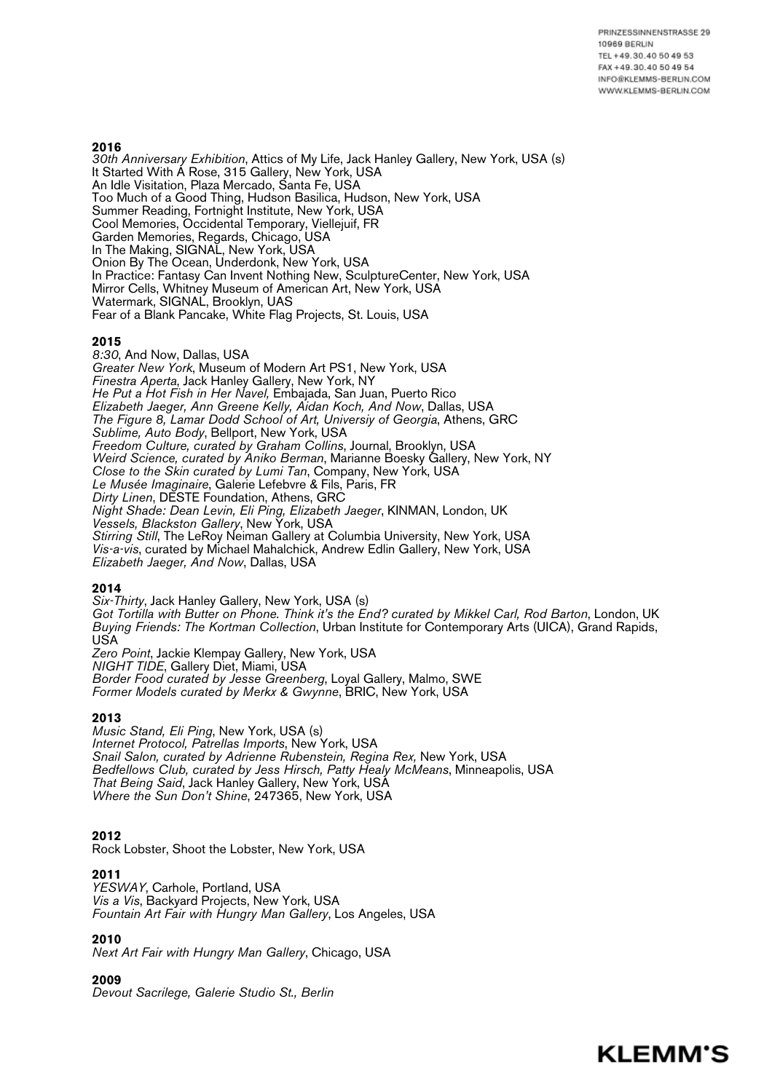# **2016**

*30th Anniversary Exhibition*, Attics of My Life, Jack Hanley Gallery, New York, USA (s) It Started With A Rose, 315 Gallery, New York, USA An Idle Visitation, Plaza Mercado, Santa Fe, USA Too Much of a Good Thing, Hudson Basilica, Hudson, New York, USA Summer Reading, Fortnight Institute, New York, USA Cool Memories, Occidental Temporary, Viellejuif, FR Garden Memories, Regards, Chicago, USA In The Making, SIGNAL, New York, USA Onion By The Ocean, Underdonk, New York, USA In Practice: Fantasy Can Invent Nothing New, SculptureCenter, New York, USA Mirror Cells, Whitney Museum of American Art, New York, USA Watermark, SIGNAL, Brooklyn, UAS Fear of a Blank Pancake, White Flag Projects, St. Louis, USA

### **2015**

*8:30*, And Now, Dallas, USA *Greater New York*, Museum of Modern Art PS1, New York, USA *Finestra Aperta*, Jack Hanley Gallery, New York, NY *He Put a Hot Fish in Her Navel,* Embajada, San Juan, Puerto Rico *Elizabeth Jaeger, Ann Greene Kelly, Aidan Koch, And Now*, Dallas, USA *The Figure 8, Lamar Dodd School of Art, Universiy of Georgia*, Athens, GRC *Sublime, Auto Body*, Bellport, New York, USA *Freedom Culture, curated by Graham Collins*, Journal, Brooklyn, USA *Weird Science, curated by Aniko Berman*, Marianne Boesky Gallery, New York, NY *Close to the Skin curated by Lumi Tan*, Company, New York, USA *Le Musée Imaginaire*, Galerie Lefebvre & Fils, Paris, FR *Dirty Linen*, DESTE Foundation, Athens, GRC *Night Shade: Dean Levin, Eli Ping, Elizabeth Jaeger*, KINMAN, London, UK *Vessels, Blackston Gallery*, New York, USA *Stirring Still*, The LeRoy Neiman Gallery at Columbia University, New York, USA *Vis-a-vis*, curated by Michael Mahalchick, Andrew Edlin Gallery, New York, USA *Elizabeth Jaeger, And Now*, Dallas, USA

### **2014**

*Six-Thirty*, Jack Hanley Gallery, New York, USA (s) *Got Tortilla with Butter on Phone. Think it's the End? curated by Mikkel Carl, Rod Barton*, London, UK *Buying Friends: The Kortman Collection*, Urban Institute for Contemporary Arts (UICA), Grand Rapids, USA *Zero Point*, Jackie Klempay Gallery, New York, USA

*NIGHT TIDE*, Gallery Diet, Miami, USA *Border Food curated by Jesse Greenberg*, Loyal Gallery, Malmo, SWE *Former Models curated by Merkx & Gwynne*, BRIC, New York, USA

# **2013**

*Music Stand, Eli Ping*, New York, USA (s) *Internet Protocol, Patrellas Imports*, New York, USA *Snail Salon, curated by Adrienne Rubenstein, Regina Rex,* New York, USA *Bedfellows Club, curated by Jess Hirsch, Patty Healy McMeans*, Minneapolis, USA *That Being Said*, Jack Hanley Gallery, New York, USA *Where the Sun Don't Shine*, 247365, New York, USA

### **2012**

Rock Lobster, Shoot the Lobster, New York, USA

**<sup>2011</sup>** *YESWAY*, Carhole, Portland, USA *Vis a Vis*, Backyard Projects, New York, USA *Fountain Art Fair with Hungry Man Gallery*, Los Angeles, USA

**<sup>2010</sup>** *Next Art Fair with Hungry Man Gallery*, Chicago, USA

# **2009**

*Devout Sacrilege, Galerie Studio St., Berlin*